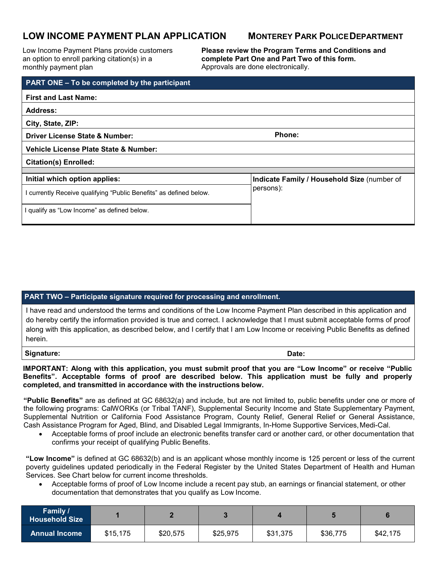# **LOW INCOME PAYMENT PLAN APPLICATION MONTEREY PARK POLICEDEPARTMENT**

Low Income Payment Plans provide customers an option to enroll parking citation(s) in a monthly payment plan

**Please review the Program Terms and Conditions and complete Part One and Part Two of this form.** Approvals are done electronically.

| <b>PART ONE - To be completed by the participant</b>               |                                                          |  |  |  |  |  |
|--------------------------------------------------------------------|----------------------------------------------------------|--|--|--|--|--|
| <b>First and Last Name:</b>                                        |                                                          |  |  |  |  |  |
| Address:                                                           |                                                          |  |  |  |  |  |
| City, State, ZIP:                                                  |                                                          |  |  |  |  |  |
| <b>Driver License State &amp; Number:</b>                          | Phone:                                                   |  |  |  |  |  |
| Vehicle License Plate State & Number:                              |                                                          |  |  |  |  |  |
| <b>Citation(s) Enrolled:</b>                                       |                                                          |  |  |  |  |  |
|                                                                    |                                                          |  |  |  |  |  |
| Initial which option applies:                                      | Indicate Family / Household Size (number of<br>persons): |  |  |  |  |  |
| I currently Receive qualifying "Public Benefits" as defined below. |                                                          |  |  |  |  |  |
| I qualify as "Low Income" as defined below.                        |                                                          |  |  |  |  |  |

### **PART TWO – Participate signature required for processing and enrollment.**

I have read and understood the terms and conditions of the Low Income Payment Plan described in this application and do hereby certify the information provided is true and correct. I acknowledge that I must submit acceptable forms of proof along with this application, as described below, and I certify that I am Low Income or receiving Public Benefits as defined herein.

**Signature: Date:**

**IMPORTANT: Along with this application, you must submit proof that you are "Low Income" or receive "Public Benefits". Acceptable forms of proof are described below. This application must be fully and properly completed, and transmitted in accordance with the instructions below.**

**"Public Benefits"** are as defined at GC 68632(a) and include, but are not limited to, public benefits under one or more of the following programs: CalWORKs (or Tribal TANF), Supplemental Security Income and State Supplementary Payment, Supplemental Nutrition or California Food Assistance Program, County Relief, General Relief or General Assistance, Cash Assistance Program for Aged, Blind, and Disabled Legal Immigrants, In-Home Supportive Services,Medi-Cal.

• Acceptable forms of proof include an electronic benefits transfer card or another card, or other documentation that confirms your receipt of qualifying Public Benefits.

**"Low Income"** is defined at GC 68632(b) and is an applicant whose monthly income is 125 percent or less of the current poverty guidelines updated periodically in the Federal Register by the United States Department of Health and Human Services. See Chart below for current income thresholds.

• Acceptable forms of proof of Low Income include a recent pay stub, an earnings or financial statement, or other documentation that demonstrates that you qualify as Low Income.

| <b>Family /</b><br><b>Household Size</b> |          |          |          |          |          |          |
|------------------------------------------|----------|----------|----------|----------|----------|----------|
| <b>Annual Income</b>                     | \$15,175 | \$20,575 | \$25,975 | \$31,375 | \$36,775 | \$42,175 |